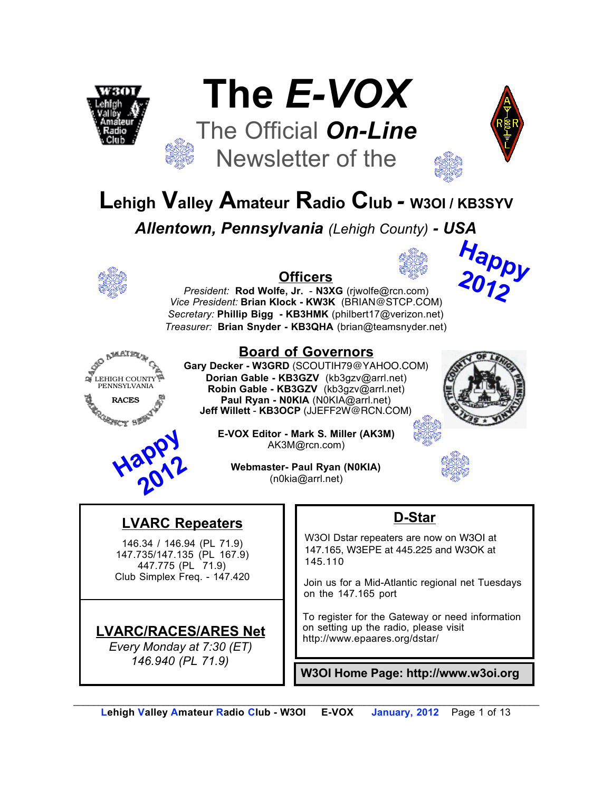





**Happy** 

**2012**

## **Lehigh Valley Amateur Radio Club** *-* **W3OI / KB3SYV**

*Allentown, Pennsylvania (Lehigh County) - USA*



#### **Officers**

*President:* **Rod Wolfe, Jr.** - **N3XG** (rjwolfe@rcn.com) *Vice President:* **Brian Klock - KW3K** (BRIAN@STCP.COM) *Secretary:* **Phillip Bigg - KB3HMK** (philbert17@verizon.net) *Treasurer:* **Brian Snyder - KB3QHA** (brian@teamsnyder.net)





**LVARC Repeaters**

146.34 / 146.94 (PL 71.9) 147.735/147.135 (PL 167.9) 447.775 (PL 71.9) Club Simplex Freq. - 147.420

**LVARC/RACES/ARES Net** *Every Monday at 7:30 (ET) 146.940 (PL 71.9)*

#### **Board of Governors**

**Gary Decker - W3GRD** (SCOUTIH79@YAHOO.COM) **Dorian Gable - KB3GZV** (kb3gzv@arrl.net) **Robin Gable - KB3GZV** (kb3gzv@arrl.net) **Paul Ryan - N0KIA** (N0KIA@arrl.net) **Jeff Willett** - **KB3OCP** (JJEFF2W@RCN.COM)



**E-VOX Editor - Mark S. Miller (AK3M)** AK3M@rcn.com)

**Webmaster- Paul Ryan (N0KIA)** (n0kia@arrl.net)

#### **D-Star**

W3OI Dstar repeaters are now on W3OI at 147.165, W3EPE at 445.225 and W3OK at 145.110

Join us for a Mid-Atlantic regional net Tuesdays on the 147.165 port

To register for the Gateway or need information on setting up the radio, please visit http://www.epaares.org/dstar/

**W3OI Home Page: http://www.w3oi.org**

*\_\_\_\_\_\_\_\_\_\_\_\_\_\_\_\_\_\_\_\_\_\_\_\_\_\_\_\_\_\_\_\_\_\_\_\_\_\_\_\_\_\_\_\_\_\_\_\_\_\_\_\_\_\_\_\_\_\_\_\_\_\_\_\_\_\_\_\_\_\_\_\_\_\_\_\_\_\_\_\_\_\_\_\_\_\_\_\_\_\_\_\_\_*  **Lehigh Valley Amateur Radio Club - W3OI E-VOX January, 2012** Page 1 of 13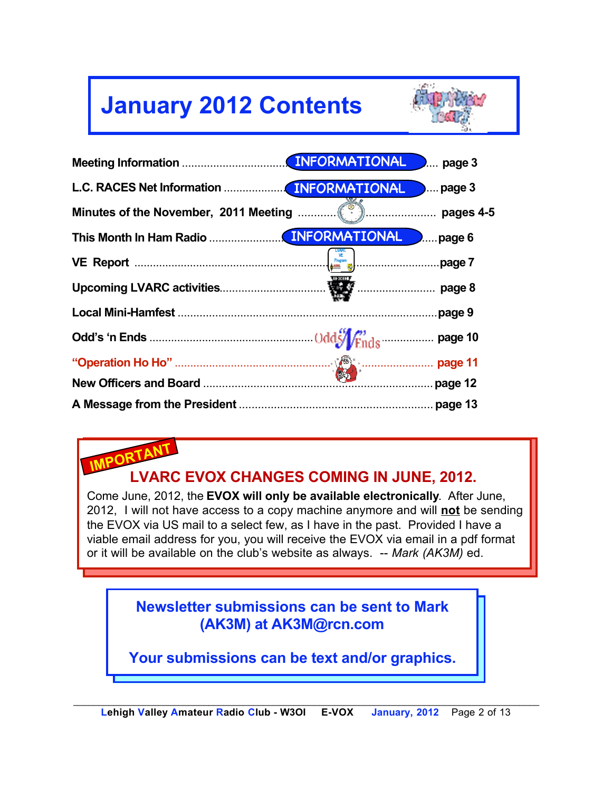## **January 2012 Contents**



|  | page 3<br>). <sup>.</sup> |
|--|---------------------------|
|  | $$ page 3                 |
|  |                           |
|  | $l_{\dots}$ page 6        |
|  |                           |
|  |                           |
|  | page 9                    |
|  |                           |
|  |                           |
|  | page 12                   |
|  |                           |

## **IMPORTANT LVARC EVOX CHANGES COMING IN JUNE, 2012.**

Come June, 2012, the **EVOX will only be available electronically**. After June, 2012, I will not have access to a copy machine anymore and will **not** be sending the EVOX via US mail to a select few, as I have in the past. Provided I have a viable email address for you, you will receive the EVOX via email in a pdf format or it will be available on the club's website as always. -- *Mark (AK3M)* ed.

> **Newsletter submissions can be sent to Mark (AK3M) at AK3M@rcn.com**

**Your submissions can be text and/or graphics.**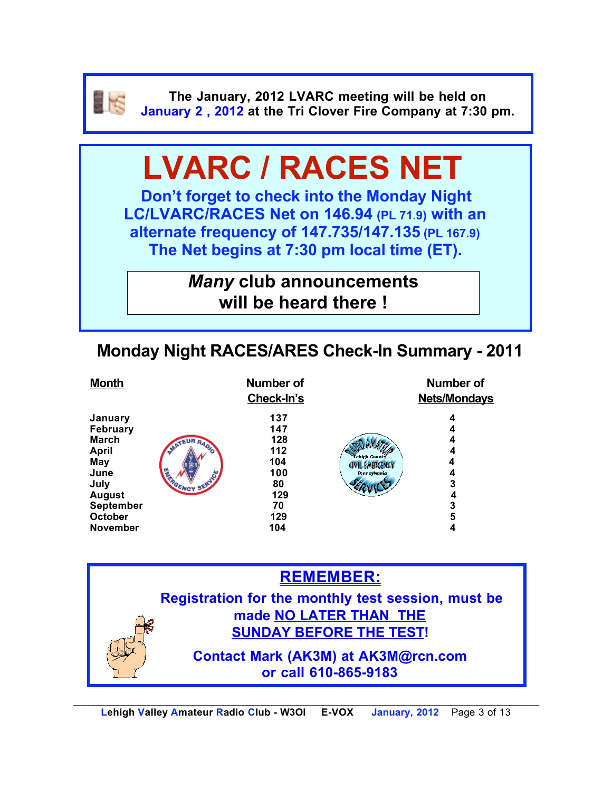

**The January, 2012 LVARC meeting will be held on January 2 , 2012 at the Tri Clover Fire Company at 7:30 pm.**

# **LVARC / RACES NET**

**Don't forget to check into the Monday Night LC/LVARC/RACES Net on 146.94 (PL 71.9) with an alternate frequency of 147.735/147.135 (PL 167.9) The Net begins at 7:30 pm local time (ET).** 

> *Many* **club announcements will be heard there !**

### **Monday Night RACES/ARES Check-In Summary - 2011**

| <b>Month</b>                                                                                                                                                |                       | <b>Number of</b><br>Check-In's                                          |                                                                | <b>Number of</b><br><b>Nets/Mondays</b>   |
|-------------------------------------------------------------------------------------------------------------------------------------------------------------|-----------------------|-------------------------------------------------------------------------|----------------------------------------------------------------|-------------------------------------------|
| January<br><b>February</b><br>March<br><b>April</b><br><b>May</b><br>June<br>July<br><b>August</b><br><b>September</b><br><b>October</b><br><b>November</b> | MATEUR RADE<br>SERVEY | 137<br>147<br>128<br>112<br>104<br>100<br>80<br>129<br>70<br>129<br>104 | Lehigh County<br><b>CIVIL EMERGENCY</b><br><b>Pennsylvania</b> | 4<br>4<br>4<br>4<br>3<br>4<br>3<br>5<br>4 |
|                                                                                                                                                             |                       |                                                                         |                                                                |                                           |

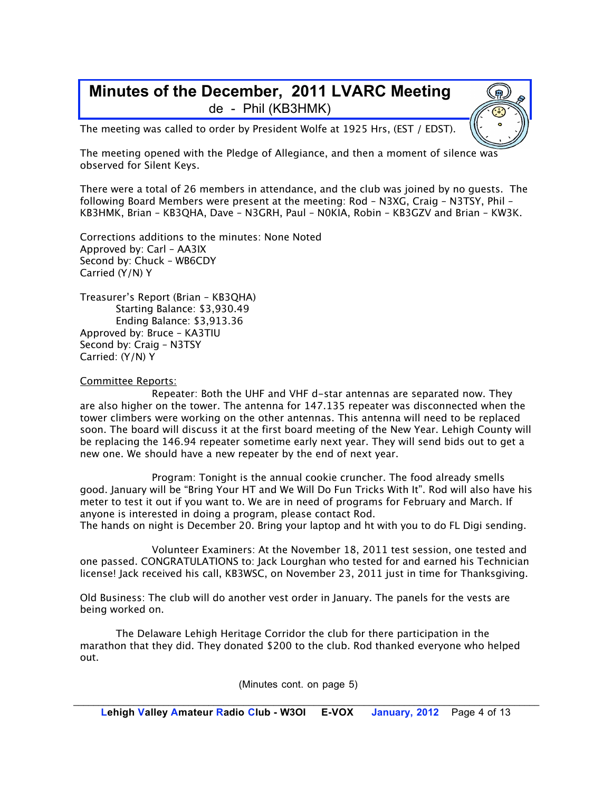#### **Minutes of the December, 2011 LVARC Meeting** de - Phil (KB3HMK)

The meeting was called to order by President Wolfe at 1925 Hrs, (EST / EDST).

The meeting opened with the Pledge of Allegiance, and then a moment of silence was observed for Silent Keys.

There were a total of 26 members in attendance, and the club was joined by no guests. The following Board Members were present at the meeting: Rod – N3XG, Craig – N3TSY, Phil – KB3HMK, Brian – KB3QHA, Dave – N3GRH, Paul – N0KIA, Robin – KB3GZV and Brian – KW3K.

Corrections additions to the minutes: None Noted Approved by: Carl – AA3IX Second by: Chuck – WB6CDY Carried (Y/N) Y

Treasurer's Report (Brian – KB3QHA) Starting Balance: \$3,930.49 Ending Balance: \$3,913.36 Approved by: Bruce – KA3TIU Second by: Craig – N3TSY Carried: (Y/N) Y

#### Committee Reports:

Repeater: Both the UHF and VHF d-star antennas are separated now. They are also higher on the tower. The antenna for 147.135 repeater was disconnected when the tower climbers were working on the other antennas. This antenna will need to be replaced soon. The board will discuss it at the first board meeting of the New Year. Lehigh County will be replacing the 146.94 repeater sometime early next year. They will send bids out to get a new one. We should have a new repeater by the end of next year.

Program: Tonight is the annual cookie cruncher. The food already smells good. January will be "Bring Your HT and We Will Do Fun Tricks With It". Rod will also have his meter to test it out if you want to. We are in need of programs for February and March. If anyone is interested in doing a program, please contact Rod.

The hands on night is December 20. Bring your laptop and ht with you to do FL Digi sending.

Volunteer Examiners: At the November 18, 2011 test session, one tested and one passed. CONGRATULATIONS to: Jack Lourghan who tested for and earned his Technician license! Jack received his call, KB3WSC, on November 23, 2011 just in time for Thanksgiving.

Old Business: The club will do another vest order in January. The panels for the vests are being worked on.

The Delaware Lehigh Heritage Corridor the club for there participation in the marathon that they did. They donated \$200 to the club. Rod thanked everyone who helped out.

(Minutes cont. on page 5)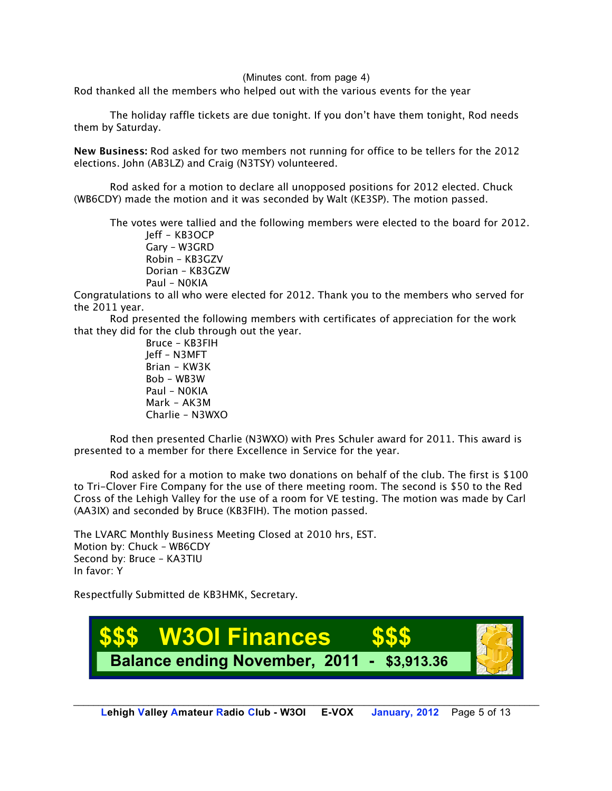(Minutes cont. from page 4)

Rod thanked all the members who helped out with the various events for the year

The holiday raffle tickets are due tonight. If you don't have them tonight, Rod needs them by Saturday.

**New Business:** Rod asked for two members not running for office to be tellers for the 2012 elections. John (AB3LZ) and Craig (N3TSY) volunteered.

Rod asked for a motion to declare all unopposed positions for 2012 elected. Chuck (WB6CDY) made the motion and it was seconded by Walt (KE3SP). The motion passed.

The votes were tallied and the following members were elected to the board for 2012. Jeff – KB3OCP

Gary – W3GRD Robin – KB3GZV Dorian – KB3GZW Paul – N0KIA

Congratulations to all who were elected for 2012. Thank you to the members who served for the 2011 year.

Rod presented the following members with certificates of appreciation for the work that they did for the club through out the year.

> Bruce – KB3FIH Jeff – N3MFT Brian – KW3K Bob – WB3W Paul – N0KIA Mark – AK3M Charlie – N3WXO

Rod then presented Charlie (N3WXO) with Pres Schuler award for 2011. This award is presented to a member for there Excellence in Service for the year.

Rod asked for a motion to make two donations on behalf of the club. The first is \$100 to Tri-Clover Fire Company for the use of there meeting room. The second is \$50 to the Red Cross of the Lehigh Valley for the use of a room for VE testing. The motion was made by Carl (AA3IX) and seconded by Bruce (KB3FIH). The motion passed.

The LVARC Monthly Business Meeting Closed at 2010 hrs, EST. Motion by: Chuck – WB6CDY Second by: Bruce – KA3TIU In favor: Y

Respectfully Submitted de KB3HMK, Secretary.

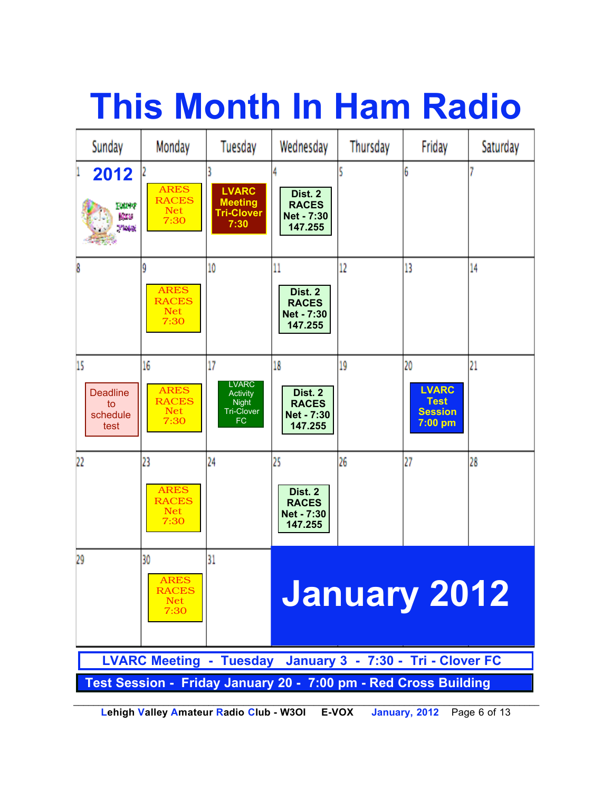# **This Month In Ham Radio**

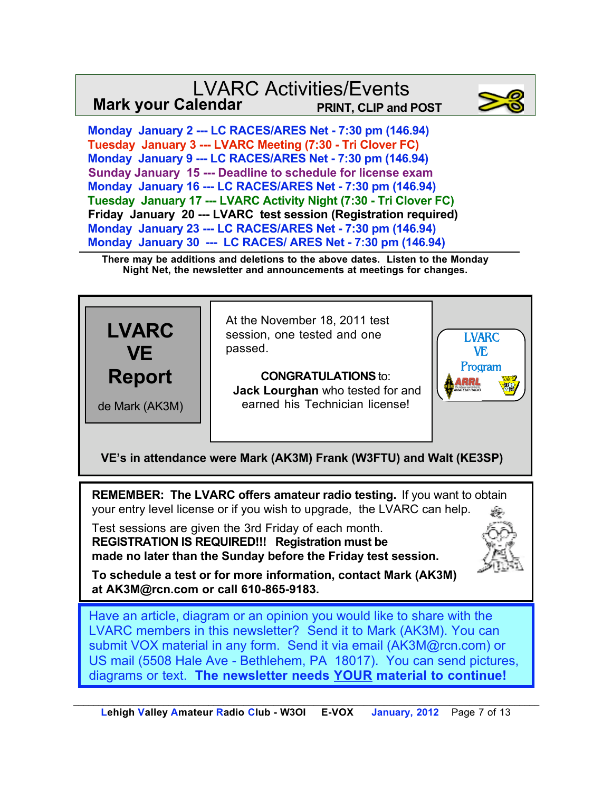#### LVARC Activities/Events **Mark your Calendar PRINT, CLIP and POST**



 **Monday January 2 --- LC RACES/ARES Net - 7:30 pm (146.94) Tuesday January 3 --- LVARC Meeting (7:30 - Tri Clover FC) Monday January 9 --- LC RACES/ARES Net - 7:30 pm (146.94) Sunday January 15 --- Deadline to schedule for license exam Monday January 16 --- LC RACES/ARES Net - 7:30 pm (146.94) Tuesday January 17 --- LVARC Activity Night (7:30 - Tri Clover FC) Friday January 20 --- LVARC test session (Registration required) Monday January 23 --- LC RACES/ARES Net - 7:30 pm (146.94) Monday January 30 --- LC RACES/ ARES Net - 7:30 pm (146.94)**

**There may be additions and deletions to the above dates. Listen to the Monday Night Net, the newsletter and announcements at meetings for changes.**



**REMEMBER: The LVARC offers amateur radio testing.** If you want to obtain your entry level license or if you wish to upgrade, the LVARC can help.

Test sessions are given the 3rd Friday of each month. **REGISTRATION IS REQUIRED!!! Registration must be made no later than the Sunday before the Friday test session.**



**To schedule a test or for more information, contact Mark (AK3M) at AK3M@rcn.com or call 610-865-9183.**

Have an article, diagram or an opinion you would like to share with the LVARC members in this newsletter? Send it to Mark (AK3M). You can submit VOX material in any form. Send it via email (AK3M@rcn.com) or US mail (5508 Hale Ave - Bethlehem, PA 18017). You can send pictures, diagrams or text. **The newsletter needs YOUR material to continue!**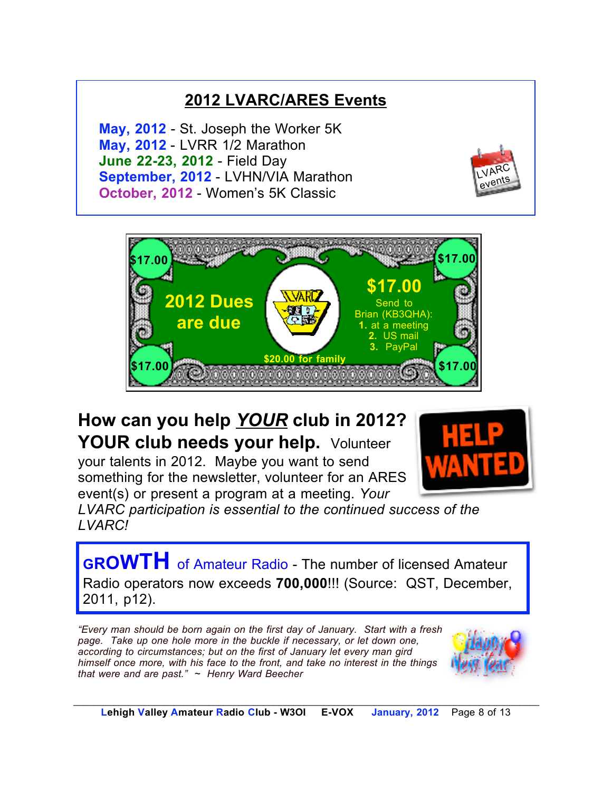#### **2012 LVARC/ARES Events**

**May, 2012** - St. Joseph the Worker 5K **May, 2012** - LVRR 1/2 Marathon **June 22-23, 2012** - Field Day **September, 2012** - LVHN/VIA Marathon **October, 2012** - Women's 5K Classic





## **How can you help** *YOUR* **club in 2012? YOUR club needs your help.** Volunteer

your talents in 2012. Maybe you want to send something for the newsletter, volunteer for an ARES event(s) or present a program at a meeting. *Your* 



*LVARC participation is essential to the continued success of the LVARC!*

**GROWTH** of Amateur Radio - The number of licensed Amateur Radio operators now exceeds **700,000**!!! (Source: QST, December, 2011, p12).

*"Every man should be born again on the first day of January. Start with a fresh page. Take up one hole more in the buckle if necessary, or let down one, according to circumstances; but on the first of January let every man gird himself once more, with his face to the front, and take no interest in the things that were and are past." ~ Henry Ward Beecher*

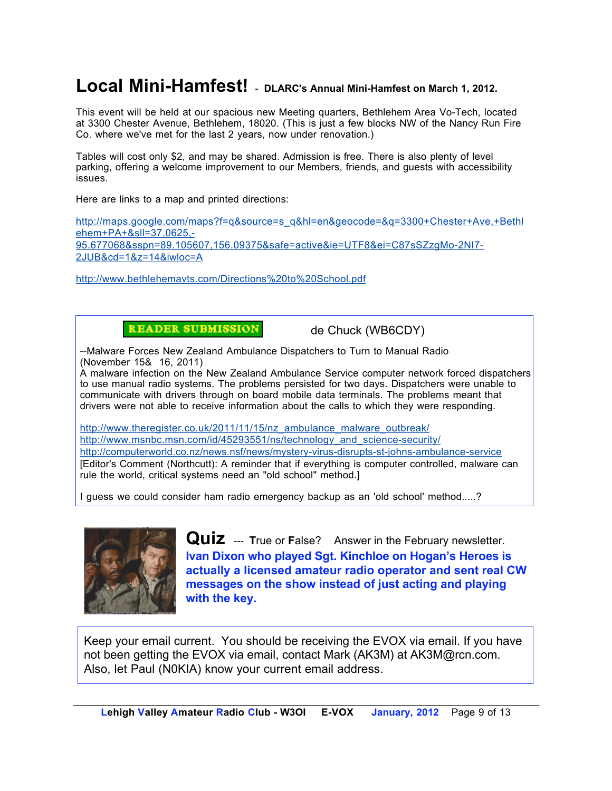#### **Local Mini-Hamfest!** - **DLARC's Annual Mini-Hamfest on March 1, 2012.**

This event will be held at our spacious new Meeting quarters, Bethlehem Area Vo-Tech, located at 3300 Chester Avenue, Bethlehem, 18020. (This is just a few blocks NW of the Nancy Run Fire Co. where we've met for the last 2 years, now under renovation.)

Tables will cost only \$2, and may be shared. Admission is free. There is also plenty of level parking, offering a welcome improvement to our Members, friends, and guests with accessibility issues.

Here are links to a map and printed directions:

http://maps.google.com/maps?f=q&source=s\_q&hl=en&geocode=&q=3300+Chester+Ave,+Bethl ehem+PA+&sll=37.0625,- 95.677068&sspn=89.105607,156.09375&safe=active&ie=UTF8&ei=C87sSZzgMo-2NI7- 2JUB&cd=1&z=14&iwloc=A

http://www.bethlehemavts.com/Directions%20to%20School.pdf

**READER SUBMISSION** 

de Chuck (WB6CDY)

--Malware Forces New Zealand Ambulance Dispatchers to Turn to Manual Radio (November 15& 16, 2011)

A malware infection on the New Zealand Ambulance Service computer network forced dispatchers to use manual radio systems. The problems persisted for two days. Dispatchers were unable to communicate with drivers through on board mobile data terminals. The problems meant that drivers were not able to receive information about the calls to which they were responding.

http://www.theregister.co.uk/2011/11/15/nz\_ambulance\_malware\_outbreak/ http://www.msnbc.msn.com/id/45293551/ns/technology\_and\_science-security/ http://computerworld.co.nz/news.nsf/news/mystery-virus-disrupts-st-johns-ambulance-service [Editor's Comment (Northcutt): A reminder that if everything is computer controlled, malware can rule the world, critical systems need an "old school" method.]

I guess we could consider ham radio emergency backup as an 'old school' method.....?



**Quiz** --- **True or False?** Answer in the February newsletter. **Ivan Dixon who played Sgt. Kinchloe on Hogan's Heroes is actually a licensed amateur radio operator and sent real CW messages on the show instead of just acting and playing with the key.** 

Keep your email current. You should be receiving the EVOX via email. If you have not been getting the EVOX via email, contact Mark (AK3M) at AK3M@rcn.com. Also, let Paul (N0KIA) know your current email address.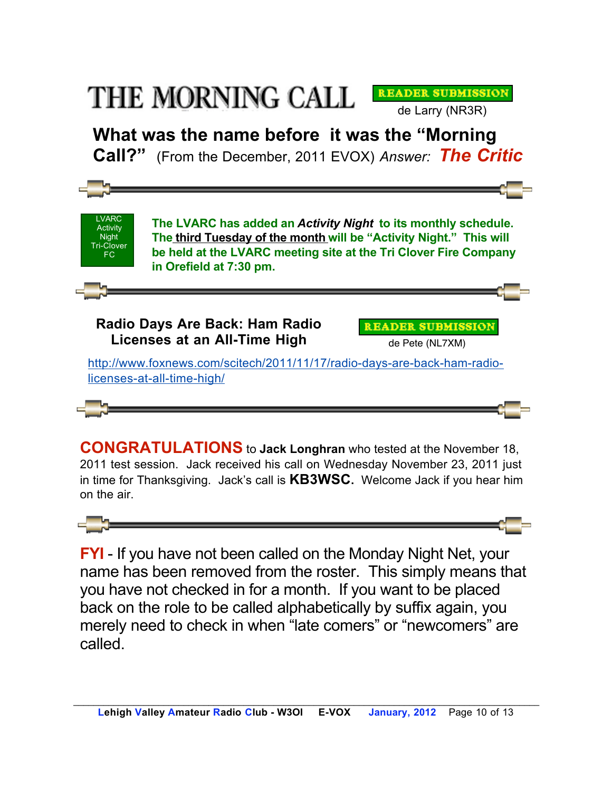## THE MORNING CALL

**What was the name before it was the "Morning Call?"** (From the December, 2011 EVOX) *Answer: The Critic*

de Larry (NR3R)

**READER SUBMISSION** 



**CONGRATULATIONS** to **Jack Longhran** who tested at the November 18, 2011 test session. Jack received his call on Wednesday November 23, 2011 just in time for Thanksgiving. Jack's call is **KB3WSC.** Welcome Jack if you hear him on the air.



**FYI** - If you have not been called on the Monday Night Net, your name has been removed from the roster. This simply means that you have not checked in for a month. If you want to be placed back on the role to be called alphabetically by suffix again, you merely need to check in when "late comers" or "newcomers" are called.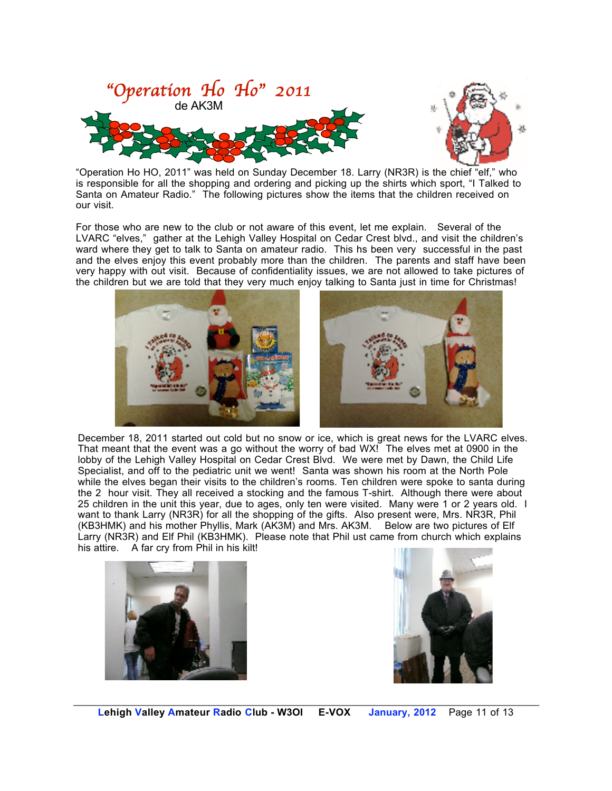

"Operation Ho HO, 2011" was held on Sunday December 18. Larry (NR3R) is the chief "elf," who is responsible for all the shopping and ordering and picking up the shirts which sport, "I Talked to Santa on Amateur Radio." The following pictures show the items that the children received on our visit.

and the elves enjoy this event probably more than the children. The parents and staff have been For those who are new to the club or not aware of this event, let me explain. Several of the LVARC "elves," gather at the Lehigh Valley Hospital on Cedar Crest blvd., and visit the children's ward where they get to talk to Santa on amateur radio. This hs been very successful in the past very happy with out visit. Because of confidentiality issues, we are not allowed to take pictures of the children but we are told that they very much enjoy talking to Santa just in time for Christmas!



December 18, 2011 started out cold but no snow or ice, which is great news for the LVARC elves. That meant that the event was a go without the worry of bad WX! The elves met at 0900 in the lobby of the Lehigh Valley Hospital on Cedar Crest Blvd. We were met by Dawn, the Child Life Specialist, and off to the pediatric unit we went! Santa was shown his room at the North Pole while the elves began their visits to the children's rooms. Ten children were spoke to santa during the 2 hour visit. They all received a stocking and the famous T-shirt. Although there were about 25 children in the unit this year, due to ages, only ten were visited. Many were 1 or 2 years old. I want to thank Larry (NR3R) for all the shopping of the gifts. Also present were, Mrs. NR3R, Phil (KB3HMK) and his mother Phyllis, Mark (AK3M) and Mrs. AK3M. Below are two pictures of Elf Larry (NR3R) and Elf Phil (KB3HMK). Please note that Phil ust came from church which explains his attire. A far cry from Phil in his kilt!



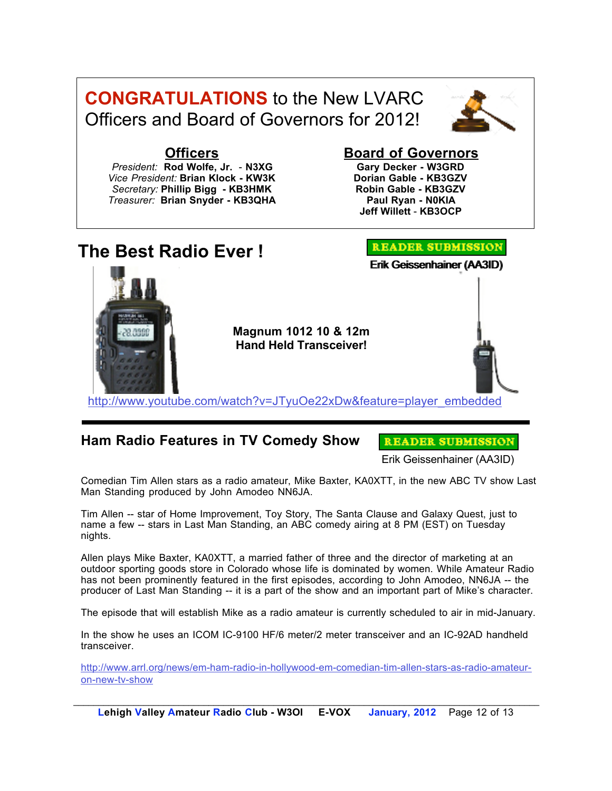



#### **Officers**

*President:* **Rod Wolfe, Jr.** - **N3XG** *Vice President:* **Brian Klock - KW3K**  *Secretary:* **Phillip Bigg - KB3HMK**  *Treasurer:* **Brian Snyder - KB3QHA**

#### **Board of Governors**

**Gary Decker - W3GRD Dorian Gable - KB3GZV Robin Gable - KB3GZV Paul Ryan - N0KIA Jeff Willett** - **KB3OCP**



#### **Ham Radio Features in TV Comedy Show**

**READER SUBMISSION** 

Erik Geissenhainer (AA3ID)

Comedian Tim Allen stars as a radio amateur, Mike Baxter, KA0XTT, in the new ABC TV show Last Man Standing produced by John Amodeo NN6JA.

Tim Allen -- star of Home Improvement, Toy Story, The Santa Clause and Galaxy Quest, just to name a few -- stars in Last Man Standing, an ABC comedy airing at 8 PM (EST) on Tuesday nights.

Allen plays Mike Baxter, KA0XTT, a married father of three and the director of marketing at an outdoor sporting goods store in Colorado whose life is dominated by women. While Amateur Radio has not been prominently featured in the first episodes, according to John Amodeo, NN6JA -- the producer of Last Man Standing -- it is a part of the show and an important part of Mike's character.

The episode that will establish Mike as a radio amateur is currently scheduled to air in mid-January.

In the show he uses an ICOM IC-9100 HF/6 meter/2 meter transceiver and an IC-92AD handheld transceiver.

http://www.arrl.org/news/em-ham-radio-in-hollywood-em-comedian-tim-allen-stars-as-radio-amateuron-new-tv-show